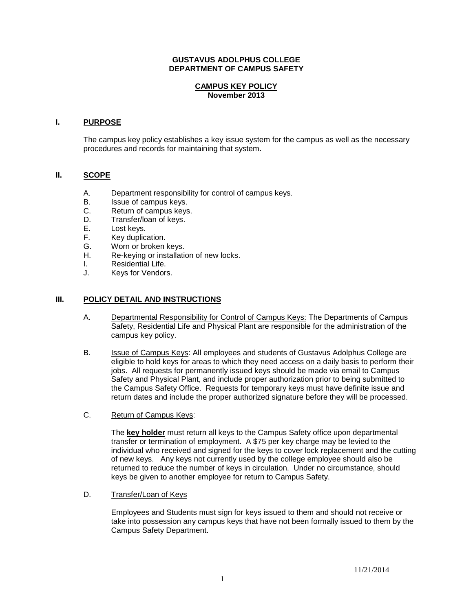#### **GUSTAVUS ADOLPHUS COLLEGE DEPARTMENT OF CAMPUS SAFETY**

## **CAMPUS KEY POLICY November 2013**

#### **I. PURPOSE**

The campus key policy establishes a key issue system for the campus as well as the necessary procedures and records for maintaining that system.

## **II. SCOPE**

- A. Department responsibility for control of campus keys.
- B. Issue of campus keys.
- C. Return of campus keys.
- D. Transfer/loan of keys.<br>E. Lost keys.
- E. Lost keys.<br>F. Key duplic
- F. Key duplication.<br>G. Worn or broken
- G. Worn or broken keys.<br>H. Re-keving or installation
- Re-keying or installation of new locks.
- I. Residential Life.<br>
J. Kevs for Vendors
- Keys for Vendors.

## **III. POLICY DETAIL AND INSTRUCTIONS**

- A. Departmental Responsibility for Control of Campus Keys: The Departments of Campus Safety, Residential Life and Physical Plant are responsible for the administration of the campus key policy.
- B. Issue of Campus Keys: All employees and students of Gustavus Adolphus College are eligible to hold keys for areas to which they need access on a daily basis to perform their jobs. All requests for permanently issued keys should be made via email to Campus Safety and Physical Plant, and include proper authorization prior to being submitted to the Campus Safety Office. Requests for temporary keys must have definite issue and return dates and include the proper authorized signature before they will be processed.
- C. Return of Campus Keys:

The **key holder** must return all keys to the Campus Safety office upon departmental transfer or termination of employment. A \$75 per key charge may be levied to the individual who received and signed for the keys to cover lock replacement and the cutting of new keys. Any keys not currently used by the college employee should also be returned to reduce the number of keys in circulation. Under no circumstance, should keys be given to another employee for return to Campus Safety.

D. Transfer/Loan of Keys

Employees and Students must sign for keys issued to them and should not receive or take into possession any campus keys that have not been formally issued to them by the Campus Safety Department.